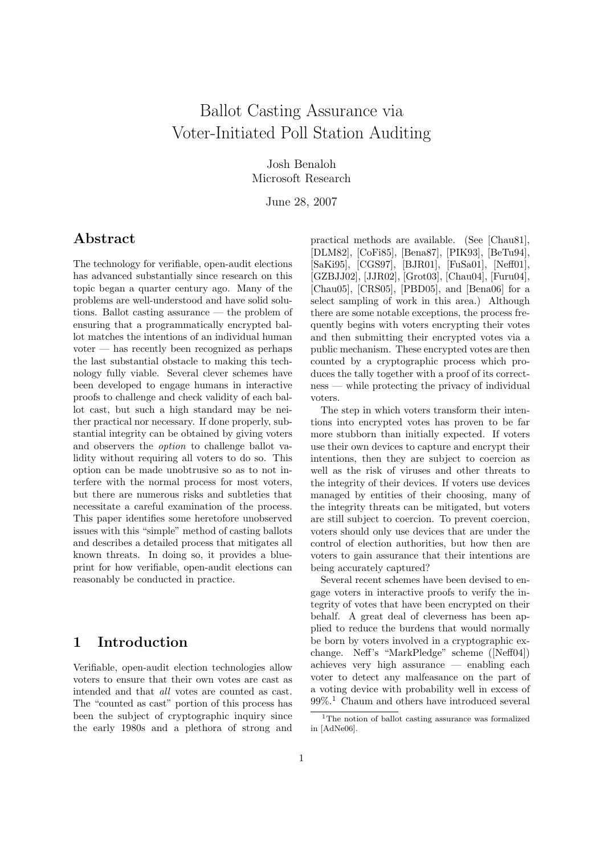# Ballot Casting Assurance via Voter-Initiated Poll Station Auditing

Josh Benaloh Microsoft Research

June 28, 2007

# Abstract

The technology for verifiable, open-audit elections has advanced substantially since research on this topic began a quarter century ago. Many of the problems are well-understood and have solid solutions. Ballot casting assurance — the problem of ensuring that a programmatically encrypted ballot matches the intentions of an individual human voter — has recently been recognized as perhaps the last substantial obstacle to making this technology fully viable. Several clever schemes have been developed to engage humans in interactive proofs to challenge and check validity of each ballot cast, but such a high standard may be neither practical nor necessary. If done properly, substantial integrity can be obtained by giving voters and observers the option to challenge ballot validity without requiring all voters to do so. This option can be made unobtrusive so as to not interfere with the normal process for most voters, but there are numerous risks and subtleties that necessitate a careful examination of the process. This paper identifies some heretofore unobserved issues with this "simple" method of casting ballots and describes a detailed process that mitigates all known threats. In doing so, it provides a blueprint for how verifiable, open-audit elections can reasonably be conducted in practice.

### 1 Introduction

Verifiable, open-audit election technologies allow voters to ensure that their own votes are cast as intended and that all votes are counted as cast. The "counted as cast" portion of this process has been the subject of cryptographic inquiry since the early 1980s and a plethora of strong and

practical methods are available. (See [Chau81], [DLM82], [CoFi85], [Bena87], [PIK93], [BeTu94], [SaKi95], [CGS97], [BJR01], [FuSa01], [Neff01], [GZBJJ02], [JJR02], [Grot03], [Chau04], [Furu04], [Chau05], [CRS05], [PBD05], and [Bena06] for a select sampling of work in this area.) Although there are some notable exceptions, the process frequently begins with voters encrypting their votes and then submitting their encrypted votes via a public mechanism. These encrypted votes are then counted by a cryptographic process which produces the tally together with a proof of its correctness — while protecting the privacy of individual voters.

The step in which voters transform their intentions into encrypted votes has proven to be far more stubborn than initially expected. If voters use their own devices to capture and encrypt their intentions, then they are subject to coercion as well as the risk of viruses and other threats to the integrity of their devices. If voters use devices managed by entities of their choosing, many of the integrity threats can be mitigated, but voters are still subject to coercion. To prevent coercion, voters should only use devices that are under the control of election authorities, but how then are voters to gain assurance that their intentions are being accurately captured?

Several recent schemes have been devised to engage voters in interactive proofs to verify the integrity of votes that have been encrypted on their behalf. A great deal of cleverness has been applied to reduce the burdens that would normally be born by voters involved in a cryptographic exchange. Neff's "MarkPledge" scheme ([Neff04]) achieves very high assurance — enabling each voter to detect any malfeasance on the part of a voting device with probability well in excess of 99%.<sup>1</sup> Chaum and others have introduced several

<sup>&</sup>lt;sup>1</sup>The notion of ballot casting assurance was formalized in [AdNe06].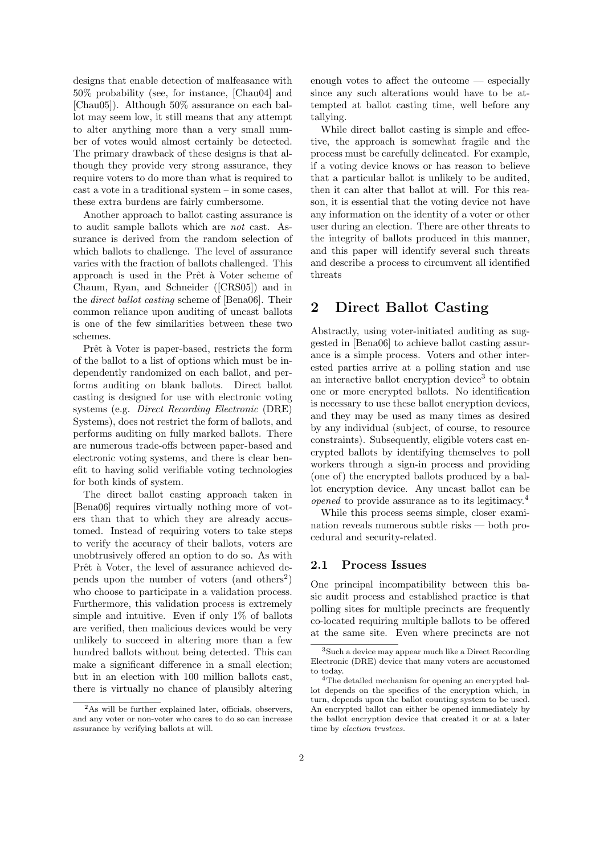designs that enable detection of malfeasance with 50% probability (see, for instance, [Chau04] and [Chau05]). Although 50% assurance on each ballot may seem low, it still means that any attempt to alter anything more than a very small number of votes would almost certainly be detected. The primary drawback of these designs is that although they provide very strong assurance, they require voters to do more than what is required to cast a vote in a traditional system – in some cases, these extra burdens are fairly cumbersome.

Another approach to ballot casting assurance is to audit sample ballots which are not cast. Assurance is derived from the random selection of which ballots to challenge. The level of assurance varies with the fraction of ballots challenged. This approach is used in the Prêt à Voter scheme of Chaum, Ryan, and Schneider ([CRS05]) and in the direct ballot casting scheme of [Bena06]. Their common reliance upon auditing of uncast ballots is one of the few similarities between these two schemes.

Prêt à Voter is paper-based, restricts the form of the ballot to a list of options which must be independently randomized on each ballot, and performs auditing on blank ballots. Direct ballot casting is designed for use with electronic voting systems (e.g. Direct Recording Electronic (DRE) Systems), does not restrict the form of ballots, and performs auditing on fully marked ballots. There are numerous trade-offs between paper-based and electronic voting systems, and there is clear benefit to having solid verifiable voting technologies for both kinds of system.

The direct ballot casting approach taken in [Bena06] requires virtually nothing more of voters than that to which they are already accustomed. Instead of requiring voters to take steps to verify the accuracy of their ballots, voters are unobtrusively offered an option to do so. As with Prêt à Voter, the level of assurance achieved depends upon the number of voters (and others<sup>2</sup>) who choose to participate in a validation process. Furthermore, this validation process is extremely simple and intuitive. Even if only 1% of ballots are verified, then malicious devices would be very unlikely to succeed in altering more than a few hundred ballots without being detected. This can make a significant difference in a small election; but in an election with 100 million ballots cast, there is virtually no chance of plausibly altering

enough votes to affect the outcome — especially since any such alterations would have to be attempted at ballot casting time, well before any tallying.

While direct ballot casting is simple and effective, the approach is somewhat fragile and the process must be carefully delineated. For example, if a voting device knows or has reason to believe that a particular ballot is unlikely to be audited, then it can alter that ballot at will. For this reason, it is essential that the voting device not have any information on the identity of a voter or other user during an election. There are other threats to the integrity of ballots produced in this manner, and this paper will identify several such threats and describe a process to circumvent all identified threats

## 2 Direct Ballot Casting

Abstractly, using voter-initiated auditing as suggested in [Bena06] to achieve ballot casting assurance is a simple process. Voters and other interested parties arrive at a polling station and use an interactive ballot encryption device<sup>3</sup> to obtain one or more encrypted ballots. No identification is necessary to use these ballot encryption devices, and they may be used as many times as desired by any individual (subject, of course, to resource constraints). Subsequently, eligible voters cast encrypted ballots by identifying themselves to poll workers through a sign-in process and providing (one of) the encrypted ballots produced by a ballot encryption device. Any uncast ballot can be opened to provide assurance as to its legitimacy.<sup>4</sup>

While this process seems simple, closer examination reveals numerous subtle risks — both procedural and security-related.

#### 2.1 Process Issues

One principal incompatibility between this basic audit process and established practice is that polling sites for multiple precincts are frequently co-located requiring multiple ballots to be offered at the same site. Even where precincts are not

<sup>&</sup>lt;sup>2</sup>As will be further explained later, officials, observers, and any voter or non-voter who cares to do so can increase assurance by verifying ballots at will.

<sup>3</sup>Such a device may appear much like a Direct Recording Electronic (DRE) device that many voters are accustomed to today.

<sup>4</sup>The detailed mechanism for opening an encrypted ballot depends on the specifics of the encryption which, in turn, depends upon the ballot counting system to be used. An encrypted ballot can either be opened immediately by the ballot encryption device that created it or at a later time by election trustees.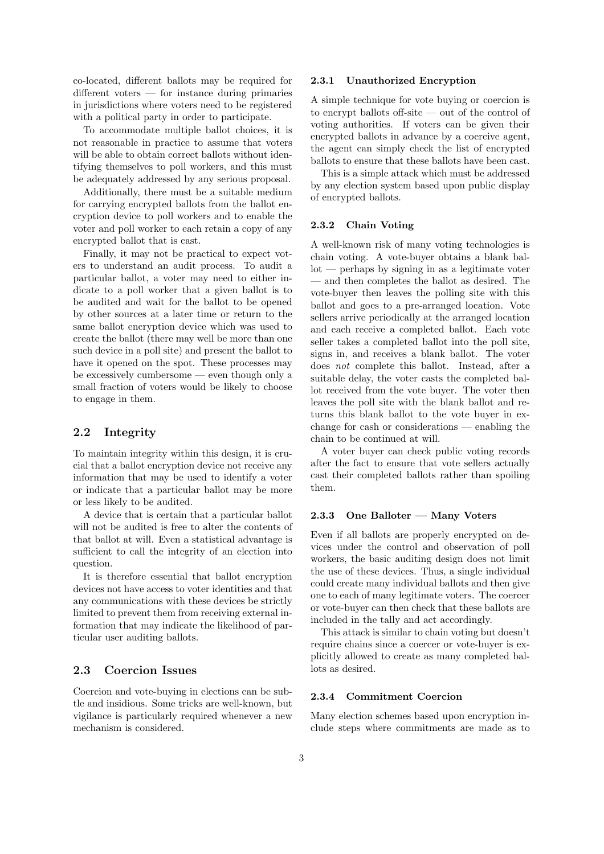co-located, different ballots may be required for different voters — for instance during primaries in jurisdictions where voters need to be registered with a political party in order to participate.

To accommodate multiple ballot choices, it is not reasonable in practice to assume that voters will be able to obtain correct ballots without identifying themselves to poll workers, and this must be adequately addressed by any serious proposal.

Additionally, there must be a suitable medium for carrying encrypted ballots from the ballot encryption device to poll workers and to enable the voter and poll worker to each retain a copy of any encrypted ballot that is cast.

Finally, it may not be practical to expect voters to understand an audit process. To audit a particular ballot, a voter may need to either indicate to a poll worker that a given ballot is to be audited and wait for the ballot to be opened by other sources at a later time or return to the same ballot encryption device which was used to create the ballot (there may well be more than one such device in a poll site) and present the ballot to have it opened on the spot. These processes may be excessively cumbersome — even though only a small fraction of voters would be likely to choose to engage in them.

### 2.2 Integrity

To maintain integrity within this design, it is crucial that a ballot encryption device not receive any information that may be used to identify a voter or indicate that a particular ballot may be more or less likely to be audited.

A device that is certain that a particular ballot will not be audited is free to alter the contents of that ballot at will. Even a statistical advantage is sufficient to call the integrity of an election into question.

It is therefore essential that ballot encryption devices not have access to voter identities and that any communications with these devices be strictly limited to prevent them from receiving external information that may indicate the likelihood of particular user auditing ballots.

### 2.3 Coercion Issues

Coercion and vote-buying in elections can be subtle and insidious. Some tricks are well-known, but vigilance is particularly required whenever a new mechanism is considered.

#### 2.3.1 Unauthorized Encryption

A simple technique for vote buying or coercion is to encrypt ballots off-site — out of the control of voting authorities. If voters can be given their encrypted ballots in advance by a coercive agent, the agent can simply check the list of encrypted ballots to ensure that these ballots have been cast.

This is a simple attack which must be addressed by any election system based upon public display of encrypted ballots.

#### 2.3.2 Chain Voting

A well-known risk of many voting technologies is chain voting. A vote-buyer obtains a blank ballot — perhaps by signing in as a legitimate voter — and then completes the ballot as desired. The vote-buyer then leaves the polling site with this ballot and goes to a pre-arranged location. Vote sellers arrive periodically at the arranged location and each receive a completed ballot. Each vote seller takes a completed ballot into the poll site, signs in, and receives a blank ballot. The voter does not complete this ballot. Instead, after a suitable delay, the voter casts the completed ballot received from the vote buyer. The voter then leaves the poll site with the blank ballot and returns this blank ballot to the vote buyer in exchange for cash or considerations — enabling the chain to be continued at will.

A voter buyer can check public voting records after the fact to ensure that vote sellers actually cast their completed ballots rather than spoiling them.

#### 2.3.3 One Balloter — Many Voters

Even if all ballots are properly encrypted on devices under the control and observation of poll workers, the basic auditing design does not limit the use of these devices. Thus, a single individual could create many individual ballots and then give one to each of many legitimate voters. The coercer or vote-buyer can then check that these ballots are included in the tally and act accordingly.

This attack is similar to chain voting but doesn't require chains since a coercer or vote-buyer is explicitly allowed to create as many completed ballots as desired.

#### 2.3.4 Commitment Coercion

Many election schemes based upon encryption include steps where commitments are made as to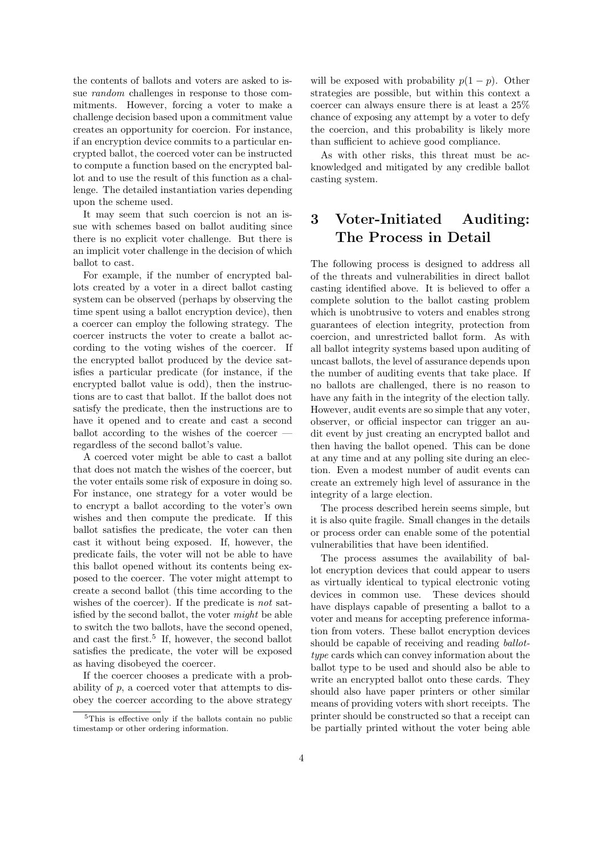the contents of ballots and voters are asked to issue random challenges in response to those commitments. However, forcing a voter to make a challenge decision based upon a commitment value creates an opportunity for coercion. For instance, if an encryption device commits to a particular encrypted ballot, the coerced voter can be instructed to compute a function based on the encrypted ballot and to use the result of this function as a challenge. The detailed instantiation varies depending upon the scheme used.

It may seem that such coercion is not an issue with schemes based on ballot auditing since there is no explicit voter challenge. But there is an implicit voter challenge in the decision of which ballot to cast.

For example, if the number of encrypted ballots created by a voter in a direct ballot casting system can be observed (perhaps by observing the time spent using a ballot encryption device), then a coercer can employ the following strategy. The coercer instructs the voter to create a ballot according to the voting wishes of the coercer. If the encrypted ballot produced by the device satisfies a particular predicate (for instance, if the encrypted ballot value is odd), then the instructions are to cast that ballot. If the ballot does not satisfy the predicate, then the instructions are to have it opened and to create and cast a second ballot according to the wishes of the coercer regardless of the second ballot's value.

A coerced voter might be able to cast a ballot that does not match the wishes of the coercer, but the voter entails some risk of exposure in doing so. For instance, one strategy for a voter would be to encrypt a ballot according to the voter's own wishes and then compute the predicate. If this ballot satisfies the predicate, the voter can then cast it without being exposed. If, however, the predicate fails, the voter will not be able to have this ballot opened without its contents being exposed to the coercer. The voter might attempt to create a second ballot (this time according to the wishes of the coercer). If the predicate is not satisfied by the second ballot, the voter might be able to switch the two ballots, have the second opened, and cast the first.<sup>5</sup> If, however, the second ballot satisfies the predicate, the voter will be exposed as having disobeyed the coercer.

If the coercer chooses a predicate with a probability of  $p$ , a coerced voter that attempts to disobey the coercer according to the above strategy will be exposed with probability  $p(1-p)$ . Other strategies are possible, but within this context a coercer can always ensure there is at least a 25% chance of exposing any attempt by a voter to defy the coercion, and this probability is likely more than sufficient to achieve good compliance.

As with other risks, this threat must be acknowledged and mitigated by any credible ballot casting system.

# 3 Voter-Initiated Auditing: The Process in Detail

The following process is designed to address all of the threats and vulnerabilities in direct ballot casting identified above. It is believed to offer a complete solution to the ballot casting problem which is unobtrusive to voters and enables strong guarantees of election integrity, protection from coercion, and unrestricted ballot form. As with all ballot integrity systems based upon auditing of uncast ballots, the level of assurance depends upon the number of auditing events that take place. If no ballots are challenged, there is no reason to have any faith in the integrity of the election tally. However, audit events are so simple that any voter, observer, or official inspector can trigger an audit event by just creating an encrypted ballot and then having the ballot opened. This can be done at any time and at any polling site during an election. Even a modest number of audit events can create an extremely high level of assurance in the integrity of a large election.

The process described herein seems simple, but it is also quite fragile. Small changes in the details or process order can enable some of the potential vulnerabilities that have been identified.

The process assumes the availability of ballot encryption devices that could appear to users as virtually identical to typical electronic voting devices in common use. These devices should have displays capable of presenting a ballot to a voter and means for accepting preference information from voters. These ballot encryption devices should be capable of receiving and reading ballottype cards which can convey information about the ballot type to be used and should also be able to write an encrypted ballot onto these cards. They should also have paper printers or other similar means of providing voters with short receipts. The printer should be constructed so that a receipt can be partially printed without the voter being able

<sup>5</sup>This is effective only if the ballots contain no public timestamp or other ordering information.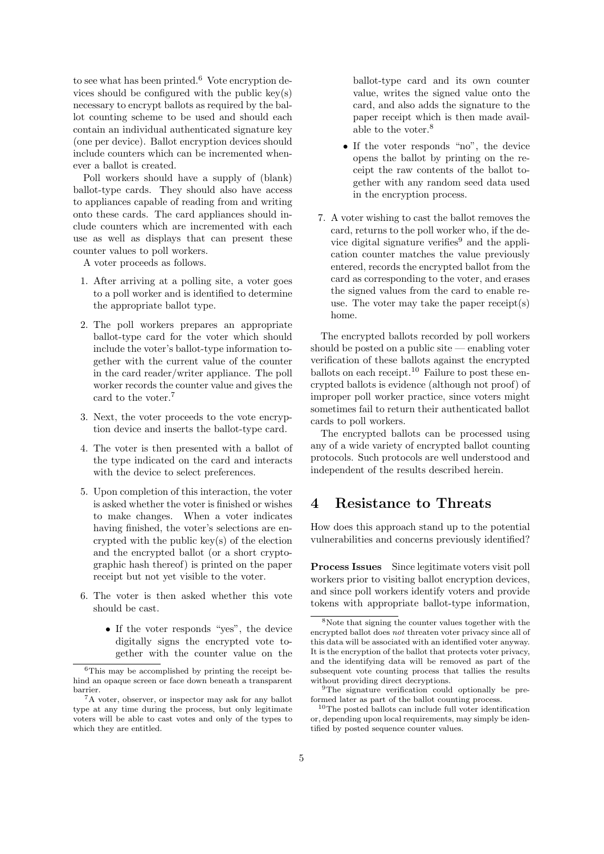to see what has been printed. $6$  Vote encryption devices should be configured with the public key(s) necessary to encrypt ballots as required by the ballot counting scheme to be used and should each contain an individual authenticated signature key (one per device). Ballot encryption devices should include counters which can be incremented whenever a ballot is created.

Poll workers should have a supply of (blank) ballot-type cards. They should also have access to appliances capable of reading from and writing onto these cards. The card appliances should include counters which are incremented with each use as well as displays that can present these counter values to poll workers.

A voter proceeds as follows.

- 1. After arriving at a polling site, a voter goes to a poll worker and is identified to determine the appropriate ballot type.
- 2. The poll workers prepares an appropriate ballot-type card for the voter which should include the voter's ballot-type information together with the current value of the counter in the card reader/writer appliance. The poll worker records the counter value and gives the card to the voter.<sup>7</sup>
- 3. Next, the voter proceeds to the vote encryption device and inserts the ballot-type card.
- 4. The voter is then presented with a ballot of the type indicated on the card and interacts with the device to select preferences.
- 5. Upon completion of this interaction, the voter is asked whether the voter is finished or wishes to make changes. When a voter indicates having finished, the voter's selections are encrypted with the public key(s) of the election and the encrypted ballot (or a short cryptographic hash thereof) is printed on the paper receipt but not yet visible to the voter.
- 6. The voter is then asked whether this vote should be cast.
	- If the voter responds "yes", the device digitally signs the encrypted vote together with the counter value on the

ballot-type card and its own counter value, writes the signed value onto the card, and also adds the signature to the paper receipt which is then made available to the voter.<sup>8</sup>

- If the voter responds "no", the device opens the ballot by printing on the receipt the raw contents of the ballot together with any random seed data used in the encryption process.
- 7. A voter wishing to cast the ballot removes the card, returns to the poll worker who, if the device digital signature verifies $9$  and the application counter matches the value previously entered, records the encrypted ballot from the card as corresponding to the voter, and erases the signed values from the card to enable reuse. The voter may take the paper receipt(s) home.

The encrypted ballots recorded by poll workers should be posted on a public site — enabling voter verification of these ballots against the encrypted ballots on each receipt.<sup>10</sup> Failure to post these encrypted ballots is evidence (although not proof) of improper poll worker practice, since voters might sometimes fail to return their authenticated ballot cards to poll workers.

The encrypted ballots can be processed using any of a wide variety of encrypted ballot counting protocols. Such protocols are well understood and independent of the results described herein.

### 4 Resistance to Threats

How does this approach stand up to the potential vulnerabilities and concerns previously identified?

Process Issues Since legitimate voters visit poll workers prior to visiting ballot encryption devices, and since poll workers identify voters and provide tokens with appropriate ballot-type information,

<sup>6</sup>This may be accomplished by printing the receipt behind an opaque screen or face down beneath a transparent barrier.

<sup>&</sup>lt;sup>7</sup>A voter, observer, or inspector may ask for any ballot type at any time during the process, but only legitimate voters will be able to cast votes and only of the types to which they are entitled.

<sup>8</sup>Note that signing the counter values together with the encrypted ballot does not threaten voter privacy since all of this data will be associated with an identified voter anyway. It is the encryption of the ballot that protects voter privacy, and the identifying data will be removed as part of the subsequent vote counting process that tallies the results without providing direct decryptions.

<sup>9</sup>The signature verification could optionally be preformed later as part of the ballot counting process.

<sup>10</sup>The posted ballots can include full voter identification or, depending upon local requirements, may simply be identified by posted sequence counter values.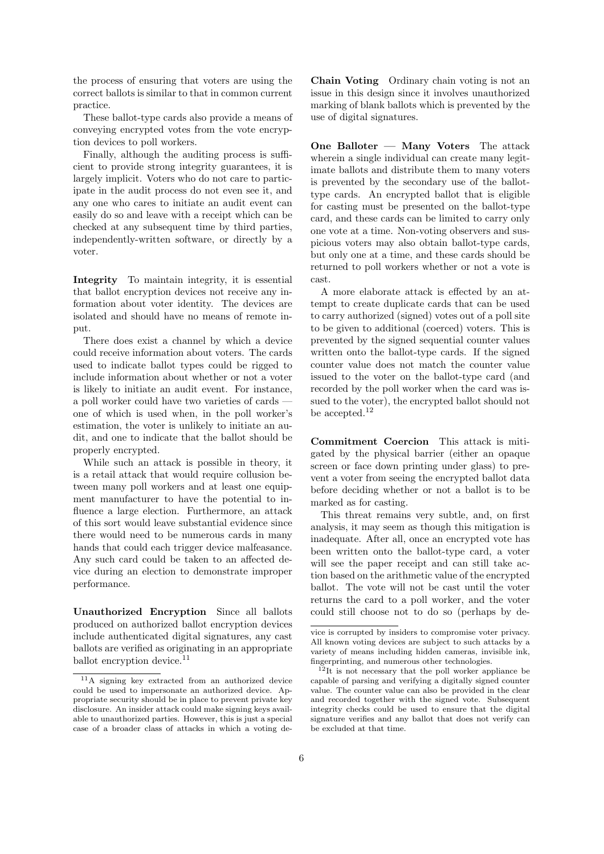the process of ensuring that voters are using the correct ballots is similar to that in common current practice.

These ballot-type cards also provide a means of conveying encrypted votes from the vote encryption devices to poll workers.

Finally, although the auditing process is sufficient to provide strong integrity guarantees, it is largely implicit. Voters who do not care to participate in the audit process do not even see it, and any one who cares to initiate an audit event can easily do so and leave with a receipt which can be checked at any subsequent time by third parties, independently-written software, or directly by a voter.

Integrity To maintain integrity, it is essential that ballot encryption devices not receive any information about voter identity. The devices are isolated and should have no means of remote input.

There does exist a channel by which a device could receive information about voters. The cards used to indicate ballot types could be rigged to include information about whether or not a voter is likely to initiate an audit event. For instance, a poll worker could have two varieties of cards one of which is used when, in the poll worker's estimation, the voter is unlikely to initiate an audit, and one to indicate that the ballot should be properly encrypted.

While such an attack is possible in theory, it is a retail attack that would require collusion between many poll workers and at least one equipment manufacturer to have the potential to influence a large election. Furthermore, an attack of this sort would leave substantial evidence since there would need to be numerous cards in many hands that could each trigger device malfeasance. Any such card could be taken to an affected device during an election to demonstrate improper performance.

Unauthorized Encryption Since all ballots produced on authorized ballot encryption devices include authenticated digital signatures, any cast ballots are verified as originating in an appropriate ballot encryption device.<sup>11</sup>

Chain Voting Ordinary chain voting is not an issue in this design since it involves unauthorized marking of blank ballots which is prevented by the use of digital signatures.

One Balloter — Many Voters The attack wherein a single individual can create many legitimate ballots and distribute them to many voters is prevented by the secondary use of the ballottype cards. An encrypted ballot that is eligible for casting must be presented on the ballot-type card, and these cards can be limited to carry only one vote at a time. Non-voting observers and suspicious voters may also obtain ballot-type cards, but only one at a time, and these cards should be returned to poll workers whether or not a vote is cast.

A more elaborate attack is effected by an attempt to create duplicate cards that can be used to carry authorized (signed) votes out of a poll site to be given to additional (coerced) voters. This is prevented by the signed sequential counter values written onto the ballot-type cards. If the signed counter value does not match the counter value issued to the voter on the ballot-type card (and recorded by the poll worker when the card was issued to the voter), the encrypted ballot should not be accepted.<sup>12</sup>

Commitment Coercion This attack is mitigated by the physical barrier (either an opaque screen or face down printing under glass) to prevent a voter from seeing the encrypted ballot data before deciding whether or not a ballot is to be marked as for casting.

This threat remains very subtle, and, on first analysis, it may seem as though this mitigation is inadequate. After all, once an encrypted vote has been written onto the ballot-type card, a voter will see the paper receipt and can still take action based on the arithmetic value of the encrypted ballot. The vote will not be cast until the voter returns the card to a poll worker, and the voter could still choose not to do so (perhaps by de-

<sup>11</sup>A signing key extracted from an authorized device could be used to impersonate an authorized device. Appropriate security should be in place to prevent private key disclosure. An insider attack could make signing keys available to unauthorized parties. However, this is just a special case of a broader class of attacks in which a voting de-

vice is corrupted by insiders to compromise voter privacy. All known voting devices are subject to such attacks by a variety of means including hidden cameras, invisible ink, fingerprinting, and numerous other technologies.

 $12$ It is not necessary that the poll worker appliance be capable of parsing and verifying a digitally signed counter value. The counter value can also be provided in the clear and recorded together with the signed vote. Subsequent integrity checks could be used to ensure that the digital signature verifies and any ballot that does not verify can be excluded at that time.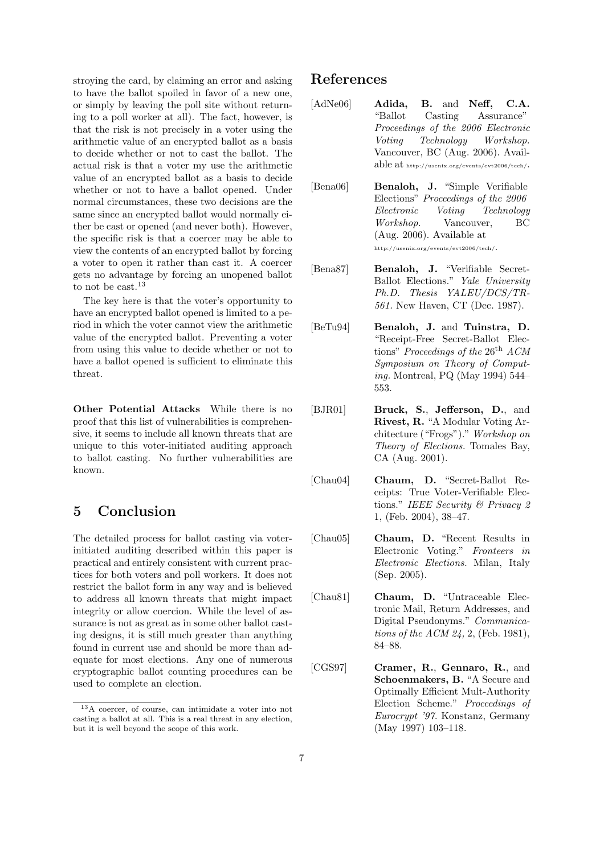stroying the card, by claiming an error and asking to have the ballot spoiled in favor of a new one, or simply by leaving the poll site without returning to a poll worker at all). The fact, however, is that the risk is not precisely in a voter using the arithmetic value of an encrypted ballot as a basis to decide whether or not to cast the ballot. The actual risk is that a voter my use the arithmetic value of an encrypted ballot as a basis to decide whether or not to have a ballot opened. Under normal circumstances, these two decisions are the same since an encrypted ballot would normally either be cast or opened (and never both). However, the specific risk is that a coercer may be able to view the contents of an encrypted ballot by forcing a voter to open it rather than cast it. A coercer gets no advantage by forcing an unopened ballot to not be cast.  $13$ 

The key here is that the voter's opportunity to have an encrypted ballot opened is limited to a period in which the voter cannot view the arithmetic value of the encrypted ballot. Preventing a voter from using this value to decide whether or not to have a ballot opened is sufficient to eliminate this threat.

Other Potential Attacks While there is no proof that this list of vulnerabilities is comprehensive, it seems to include all known threats that are unique to this voter-initiated auditing approach to ballot casting. No further vulnerabilities are known.

## 5 Conclusion

The detailed process for ballot casting via voterinitiated auditing described within this paper is practical and entirely consistent with current practices for both voters and poll workers. It does not restrict the ballot form in any way and is believed to address all known threats that might impact integrity or allow coercion. While the level of assurance is not as great as in some other ballot casting designs, it is still much greater than anything found in current use and should be more than adequate for most elections. Any one of numerous cryptographic ballot counting procedures can be used to complete an election.

### References

- [AdNe06] **Adida, B.** and Neff, C.A. "Ballot Casting Assurance" Proceedings of the 2006 Electronic Voting Technology Workshop. Vancouver, BC (Aug. 2006). Available at http://usenix.org/events/evt2006/tech/.
- [Bena06] Benaloh, J. "Simple Verifiable Elections" Proceedings of the 2006 Electronic Voting Technology Workshop. Vancouver, BC (Aug. 2006). Available at http://usenix.org/events/evt2006/tech/.
- [Bena87] Benaloh, J. "Verifiable Secret-Ballot Elections." Yale University Ph.D. Thesis YALEU/DCS/TR-561. New Haven, CT (Dec. 1987).
- [BeTu94] Benaloh, J. and Tuinstra, D. "Receipt-Free Secret-Ballot Elections" Proceedings of the  $26<sup>th</sup> ACM$ Symposium on Theory of Computing. Montreal, PQ (May 1994) 544– 553.
- [BJR01] **Bruck, S., Jefferson, D., and** Rivest, R. "A Modular Voting Architecture ("Frogs")." Workshop on Theory of Elections. Tomales Bay, CA (Aug. 2001).
- [Chau04] Chaum, D. "Secret-Ballot Receipts: True Voter-Verifiable Elections." IEEE Security & Privacy 2 1, (Feb. 2004), 38–47.
- [Chau05] Chaum, D. "Recent Results in Electronic Voting." Fronteers in Electronic Elections. Milan, Italy (Sep. 2005).
- [Chau81] Chaum, D. "Untraceable Electronic Mail, Return Addresses, and Digital Pseudonyms." Communications of the ACM 24, 2, (Feb. 1981), 84–88.
- [CGS97] Cramer, R., Gennaro, R., and Schoenmakers, B. "A Secure and Optimally Efficient Mult-Authority Election Scheme." Proceedings of Eurocrypt '97. Konstanz, Germany (May 1997) 103–118.

<sup>13</sup>A coercer, of course, can intimidate a voter into not casting a ballot at all. This is a real threat in any election, but it is well beyond the scope of this work.